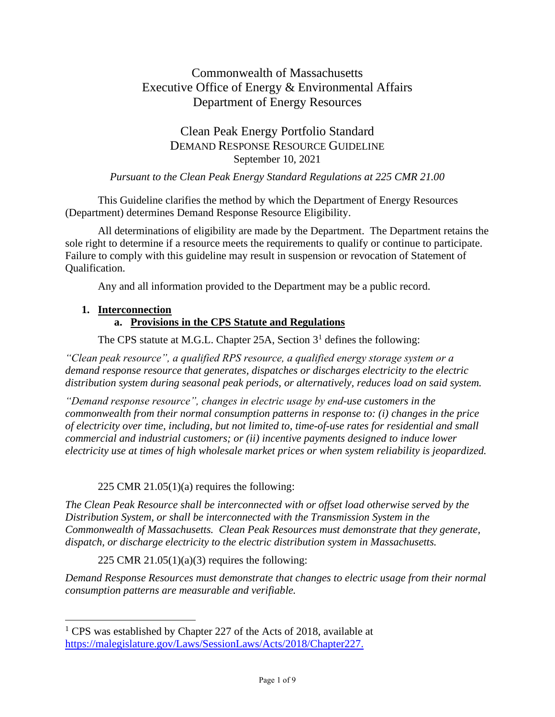# Commonwealth of Massachusetts Executive Office of Energy & Environmental Affairs Department of Energy Resources

# Clean Peak Energy Portfolio Standard DEMAND RESPONSE RESOURCE GUIDELINE September 10, 2021

#### *Pursuant to the Clean Peak Energy Standard Regulations at 225 CMR 21.00*

This Guideline clarifies the method by which the Department of Energy Resources (Department) determines Demand Response Resource Eligibility.

All determinations of eligibility are made by the Department. The Department retains the sole right to determine if a resource meets the requirements to qualify or continue to participate. Failure to comply with this guideline may result in suspension or revocation of Statement of Qualification.

Any and all information provided to the Department may be a public record.

#### **1. Interconnection**

# **a. Provisions in the CPS Statute and Regulations**

The CPS statute at M.G.L. Chapter 25A, Section  $3<sup>1</sup>$  defines the following:

*"Clean peak resource", a qualified RPS resource, a qualified energy storage system or a demand response resource that generates, dispatches or discharges electricity to the electric distribution system during seasonal peak periods, or alternatively, reduces load on said system.*

*"Demand response resource", changes in electric usage by end-use customers in the commonwealth from their normal consumption patterns in response to: (i) changes in the price of electricity over time, including, but not limited to, time-of-use rates for residential and small commercial and industrial customers; or (ii) incentive payments designed to induce lower electricity use at times of high wholesale market prices or when system reliability is jeopardized.*

# 225 CMR 21.05 $(1)(a)$  requires the following:

*The Clean Peak Resource shall be interconnected with or offset load otherwise served by the Distribution System, or shall be interconnected with the Transmission System in the Commonwealth of Massachusetts. Clean Peak Resources must demonstrate that they generate, dispatch, or discharge electricity to the electric distribution system in Massachusetts.*

225 CMR  $21.05(1)(a)(3)$  requires the following:

*Demand Response Resources must demonstrate that changes to electric usage from their normal consumption patterns are measurable and verifiable.* 

<sup>&</sup>lt;sup>1</sup> CPS was established by Chapter 227 of the Acts of 2018, available at [https://malegislature.gov/Laws/SessionLaws/Acts/2018/Chapter227.](https://malegislature.gov/Laws/SessionLaws/Acts/2018/Chapter227)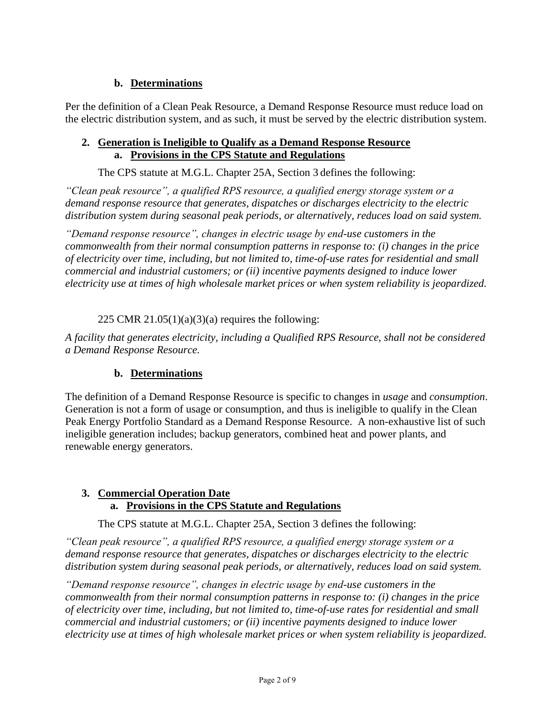# **b. Determinations**

Per the definition of a Clean Peak Resource, a Demand Response Resource must reduce load on the electric distribution system, and as such, it must be served by the electric distribution system.

#### **2. Generation is Ineligible to Qualify as a Demand Response Resource a. Provisions in the CPS Statute and Regulations**

The CPS statute at M.G.L. Chapter 25A, Section 3 defines the following:

*"Clean peak resource", a qualified RPS resource, a qualified energy storage system or a demand response resource that generates, dispatches or discharges electricity to the electric distribution system during seasonal peak periods, or alternatively, reduces load on said system.*

*"Demand response resource", changes in electric usage by end-use customers in the commonwealth from their normal consumption patterns in response to: (i) changes in the price of electricity over time, including, but not limited to, time-of-use rates for residential and small commercial and industrial customers; or (ii) incentive payments designed to induce lower electricity use at times of high wholesale market prices or when system reliability is jeopardized.*

### 225 CMR  $21.05(1)(a)(3)(a)$  requires the following:

*A facility that generates electricity, including a Qualified RPS Resource, shall not be considered a Demand Response Resource.* 

# **b. Determinations**

The definition of a Demand Response Resource is specific to changes in *usage* and *consumption*. Generation is not a form of usage or consumption, and thus is ineligible to qualify in the Clean Peak Energy Portfolio Standard as a Demand Response Resource. A non-exhaustive list of such ineligible generation includes; backup generators, combined heat and power plants, and renewable energy generators.

#### **3. Commercial Operation Date a. Provisions in the CPS Statute and Regulations**

The CPS statute at M.G.L. Chapter 25A, Section 3 defines the following:

*"Clean peak resource", a qualified RPS resource, a qualified energy storage system or a demand response resource that generates, dispatches or discharges electricity to the electric distribution system during seasonal peak periods, or alternatively, reduces load on said system.*

*"Demand response resource", changes in electric usage by end-use customers in the commonwealth from their normal consumption patterns in response to: (i) changes in the price of electricity over time, including, but not limited to, time-of-use rates for residential and small commercial and industrial customers; or (ii) incentive payments designed to induce lower electricity use at times of high wholesale market prices or when system reliability is jeopardized.*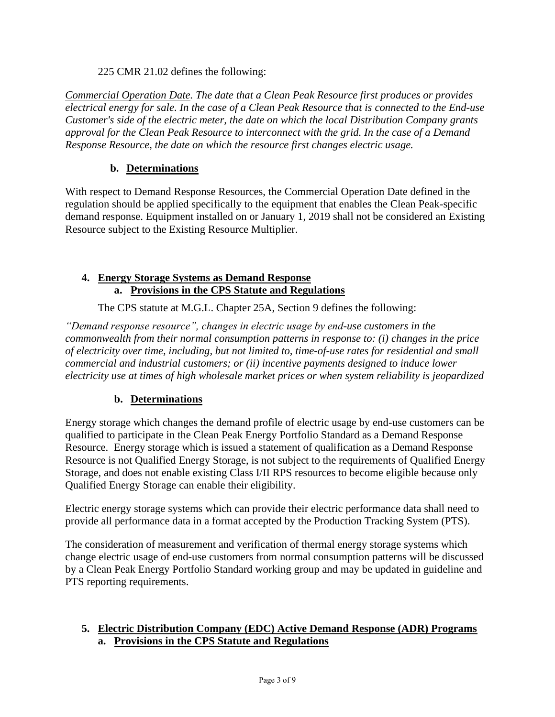225 CMR 21.02 defines the following:

*Commercial Operation Date. The date that a Clean Peak Resource first produces or provides electrical energy for sale. In the case of a Clean Peak Resource that is connected to the End-use Customer's side of the electric meter, the date on which the local Distribution Company grants approval for the Clean Peak Resource to interconnect with the grid. In the case of a Demand Response Resource, the date on which the resource first changes electric usage.*

# **b. Determinations**

With respect to Demand Response Resources, the Commercial Operation Date defined in the regulation should be applied specifically to the equipment that enables the Clean Peak-specific demand response. Equipment installed on or January 1, 2019 shall not be considered an Existing Resource subject to the Existing Resource Multiplier.

## **4. Energy Storage Systems as Demand Response a. Provisions in the CPS Statute and Regulations**

The CPS statute at M.G.L. Chapter 25A, Section 9 defines the following:

*"Demand response resource", changes in electric usage by end-use customers in the commonwealth from their normal consumption patterns in response to: (i) changes in the price of electricity over time, including, but not limited to, time-of-use rates for residential and small commercial and industrial customers; or (ii) incentive payments designed to induce lower electricity use at times of high wholesale market prices or when system reliability is jeopardized*

# **b. Determinations**

Energy storage which changes the demand profile of electric usage by end-use customers can be qualified to participate in the Clean Peak Energy Portfolio Standard as a Demand Response Resource. Energy storage which is issued a statement of qualification as a Demand Response Resource is not Qualified Energy Storage, is not subject to the requirements of Qualified Energy Storage, and does not enable existing Class I/II RPS resources to become eligible because only Qualified Energy Storage can enable their eligibility.

Electric energy storage systems which can provide their electric performance data shall need to provide all performance data in a format accepted by the Production Tracking System (PTS).

The consideration of measurement and verification of thermal energy storage systems which change electric usage of end-use customers from normal consumption patterns will be discussed by a Clean Peak Energy Portfolio Standard working group and may be updated in guideline and PTS reporting requirements.

### **5. Electric Distribution Company (EDC) Active Demand Response (ADR) Programs a. Provisions in the CPS Statute and Regulations**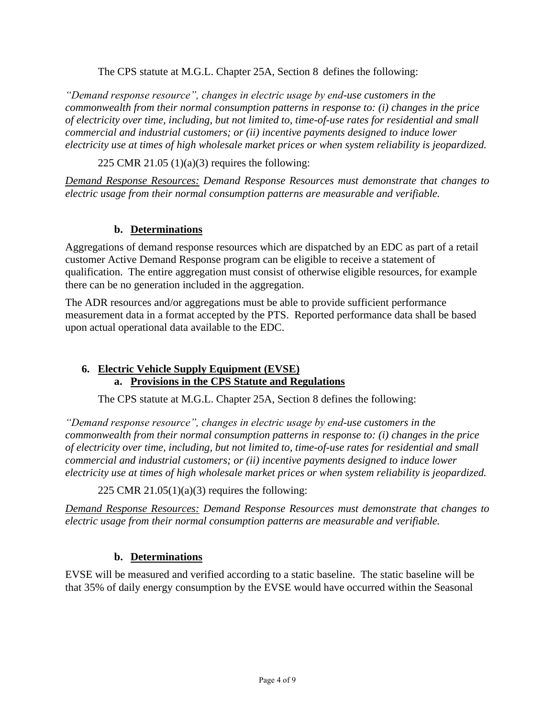The CPS statute at M.G.L. Chapter 25A, Section 8 defines the following:

*"Demand response resource", changes in electric usage by end-use customers in the commonwealth from their normal consumption patterns in response to: (i) changes in the price of electricity over time, including, but not limited to, time-of-use rates for residential and small commercial and industrial customers; or (ii) incentive payments designed to induce lower electricity use at times of high wholesale market prices or when system reliability is jeopardized.*

225 CMR 21.05  $(1)(a)(3)$  requires the following:

*Demand Response Resources: Demand Response Resources must demonstrate that changes to electric usage from their normal consumption patterns are measurable and verifiable.* 

#### **b. Determinations**

Aggregations of demand response resources which are dispatched by an EDC as part of a retail customer Active Demand Response program can be eligible to receive a statement of qualification. The entire aggregation must consist of otherwise eligible resources, for example there can be no generation included in the aggregation.

The ADR resources and/or aggregations must be able to provide sufficient performance measurement data in a format accepted by the PTS. Reported performance data shall be based upon actual operational data available to the EDC.

#### **6. Electric Vehicle Supply Equipment (EVSE) a. Provisions in the CPS Statute and Regulations**

The CPS statute at M.G.L. Chapter 25A, Section 8 defines the following:

*"Demand response resource", changes in electric usage by end-use customers in the commonwealth from their normal consumption patterns in response to: (i) changes in the price of electricity over time, including, but not limited to, time-of-use rates for residential and small commercial and industrial customers; or (ii) incentive payments designed to induce lower electricity use at times of high wholesale market prices or when system reliability is jeopardized.*

225 CMR  $21.05(1)(a)(3)$  requires the following:

*Demand Response Resources: Demand Response Resources must demonstrate that changes to electric usage from their normal consumption patterns are measurable and verifiable.* 

#### **b. Determinations**

EVSE will be measured and verified according to a static baseline. The static baseline will be that 35% of daily energy consumption by the EVSE would have occurred within the Seasonal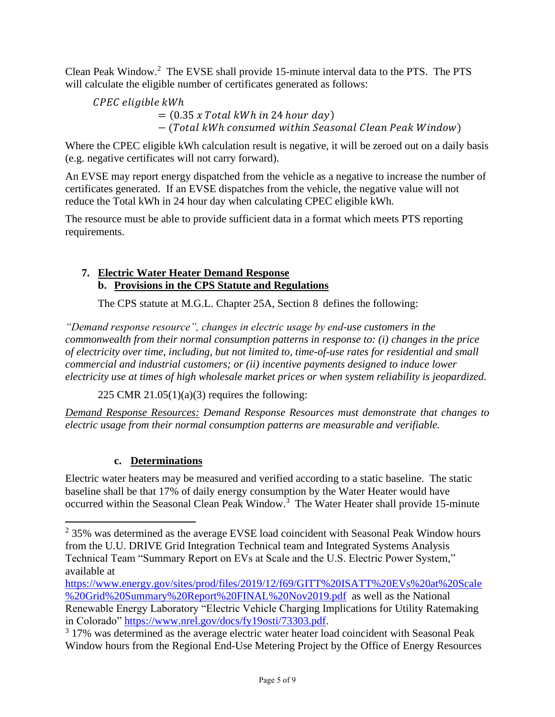Clean Peak Window.<sup>2</sup> The EVSE shall provide 15-minute interval data to the PTS. The PTS will calculate the eligible number of certificates generated as follows:

CPEC eligible kWh  $= (0.35 \times Total \, kWh \, in \, 24 \, hour \, day)$ − (Total kWh consumed within Seasonal Clean Peak Window)

Where the CPEC eligible kWh calculation result is negative, it will be zeroed out on a daily basis (e.g. negative certificates will not carry forward).

An EVSE may report energy dispatched from the vehicle as a negative to increase the number of certificates generated. If an EVSE dispatches from the vehicle, the negative value will not reduce the Total kWh in 24 hour day when calculating CPEC eligible kWh.

The resource must be able to provide sufficient data in a format which meets PTS reporting requirements.

## **7. Electric Water Heater Demand Response b. Provisions in the CPS Statute and Regulations**

The CPS statute at M.G.L. Chapter 25A, Section 8 defines the following:

*"Demand response resource", changes in electric usage by end-use customers in the commonwealth from their normal consumption patterns in response to: (i) changes in the price of electricity over time, including, but not limited to, time-of-use rates for residential and small commercial and industrial customers; or (ii) incentive payments designed to induce lower electricity use at times of high wholesale market prices or when system reliability is jeopardized.*

225 CMR 21.05(1)(a)(3) requires the following:

*Demand Response Resources: Demand Response Resources must demonstrate that changes to electric usage from their normal consumption patterns are measurable and verifiable.* 

# **c. Determinations**

Electric water heaters may be measured and verified according to a static baseline. The static baseline shall be that 17% of daily energy consumption by the Water Heater would have occurred within the Seasonal Clean Peak Window.<sup>3</sup> The Water Heater shall provide 15-minute

 $2$  35% was determined as the average EVSE load coincident with Seasonal Peak Window hours from the U.U. DRIVE Grid Integration Technical team and Integrated Systems Analysis Technical Team "Summary Report on EVs at Scale and the U.S. Electric Power System," available at

[https://www.energy.gov/sites/prod/files/2019/12/f69/GITT%20ISATT%20EVs%20at%20Scale](https://www.energy.gov/sites/prod/files/2019/12/f69/GITT%20ISATT%20EVs%20at%20Scale%20Grid%20Summary%20Report%20FINAL%20Nov2019.pdf) [%20Grid%20Summary%20Report%20FINAL%20Nov2019.pdf](https://www.energy.gov/sites/prod/files/2019/12/f69/GITT%20ISATT%20EVs%20at%20Scale%20Grid%20Summary%20Report%20FINAL%20Nov2019.pdf) as well as the National Renewable Energy Laboratory "Electric Vehicle Charging Implications for Utility Ratemaking in Colorado" [https://www.nrel.gov/docs/fy19osti/73303.pdf.](https://www.nrel.gov/docs/fy19osti/73303.pdf)

<sup>&</sup>lt;sup>3</sup> 17% was determined as the average electric water heater load coincident with Seasonal Peak Window hours from the Regional End-Use Metering Project by the Office of Energy Resources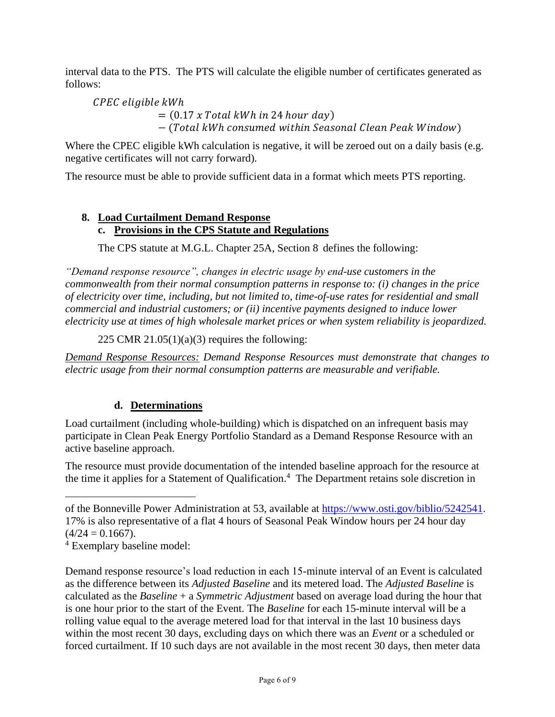interval data to the PTS. The PTS will calculate the eligible number of certificates generated as follows:

CPEC eligible kWh  $= (0.17 x Total kWh in 24 hour day)$  $-$  (Total kWh consumed within Seasonal Clean Peak Window)

Where the CPEC eligible kWh calculation is negative, it will be zeroed out on a daily basis (e.g. negative certificates will not carry forward).

The resource must be able to provide sufficient data in a format which meets PTS reporting.

## **8. Load Curtailment Demand Response c. Provisions in the CPS Statute and Regulations**

The CPS statute at M.G.L. Chapter 25A, Section 8 defines the following:

*"Demand response resource", changes in electric usage by end-use customers in the commonwealth from their normal consumption patterns in response to: (i) changes in the price of electricity over time, including, but not limited to, time-of-use rates for residential and small commercial and industrial customers; or (ii) incentive payments designed to induce lower electricity use at times of high wholesale market prices or when system reliability is jeopardized.*

225 CMR 21.05(1)(a)(3) requires the following:

*Demand Response Resources: Demand Response Resources must demonstrate that changes to electric usage from their normal consumption patterns are measurable and verifiable.* 

# **d. Determinations**

Load curtailment (including whole-building) which is dispatched on an infrequent basis may participate in Clean Peak Energy Portfolio Standard as a Demand Response Resource with an active baseline approach.

The resource must provide documentation of the intended baseline approach for the resource at the time it applies for a Statement of Qualification.<sup>4</sup> The Department retains sole discretion in

Demand response resource's load reduction in each 15-minute interval of an Event is calculated as the difference between its *Adjusted Baseline* and its metered load. The *Adjusted Baseline* is calculated as the *Baseline* + a *Symmetric Adjustment* based on average load during the hour that is one hour prior to the start of the Event. The *Baseline* for each 15-minute interval will be a rolling value equal to the average metered load for that interval in the last 10 business days within the most recent 30 days, excluding days on which there was an *Event* or a scheduled or forced curtailment. If 10 such days are not available in the most recent 30 days, then meter data

of the Bonneville Power Administration at 53, available at [https://www.osti.gov/biblio/5242541.](https://www.osti.gov/biblio/5242541) 17% is also representative of a flat 4 hours of Seasonal Peak Window hours per 24 hour day  $(4/24 = 0.1667)$ .

<sup>4</sup> Exemplary baseline model: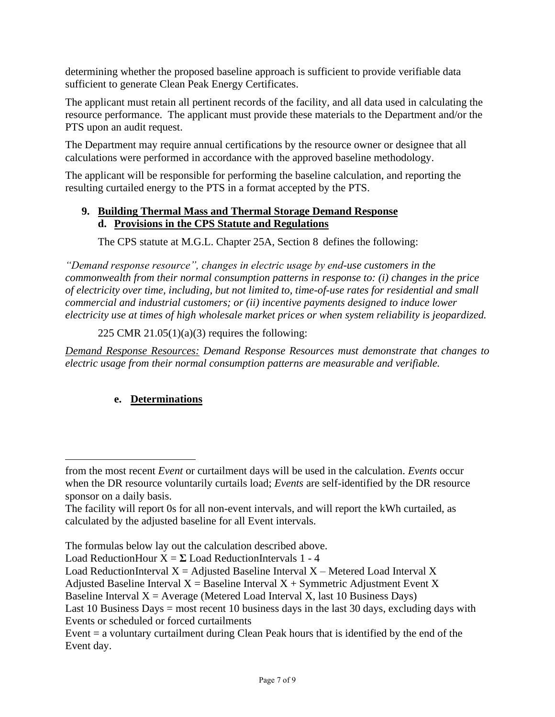determining whether the proposed baseline approach is sufficient to provide verifiable data sufficient to generate Clean Peak Energy Certificates.

The applicant must retain all pertinent records of the facility, and all data used in calculating the resource performance. The applicant must provide these materials to the Department and/or the PTS upon an audit request.

The Department may require annual certifications by the resource owner or designee that all calculations were performed in accordance with the approved baseline methodology.

The applicant will be responsible for performing the baseline calculation, and reporting the resulting curtailed energy to the PTS in a format accepted by the PTS.

#### **9. Building Thermal Mass and Thermal Storage Demand Response d. Provisions in the CPS Statute and Regulations**

The CPS statute at M.G.L. Chapter 25A, Section 8 defines the following:

*"Demand response resource", changes in electric usage by end-use customers in the commonwealth from their normal consumption patterns in response to: (i) changes in the price of electricity over time, including, but not limited to, time-of-use rates for residential and small commercial and industrial customers; or (ii) incentive payments designed to induce lower electricity use at times of high wholesale market prices or when system reliability is jeopardized.*

225 CMR 21.05(1)(a)(3) requires the following:

*Demand Response Resources: Demand Response Resources must demonstrate that changes to electric usage from their normal consumption patterns are measurable and verifiable.* 

# **e. Determinations**

The formulas below lay out the calculation described above.

Adjusted Baseline Interval  $X =$  Baseline Interval  $X +$  Symmetric Adjustment Event X

Baseline Interval  $X =$  Average (Metered Load Interval X, last 10 Business Days)

from the most recent *Event* or curtailment days will be used in the calculation. *Events* occur when the DR resource voluntarily curtails load; *Events* are self-identified by the DR resource sponsor on a daily basis.

The facility will report 0s for all non-event intervals, and will report the kWh curtailed, as calculated by the adjusted baseline for all Event intervals.

Load ReductionHour  $X = \Sigma$  Load ReductionIntervals 1 - 4

Load ReductionInterval  $X =$  Adjusted Baseline Interval  $X -$  Metered Load Interval X

Last 10 Business Days = most recent 10 business days in the last 30 days, excluding days with Events or scheduled or forced curtailments

Event = a voluntary curtailment during Clean Peak hours that is identified by the end of the Event day.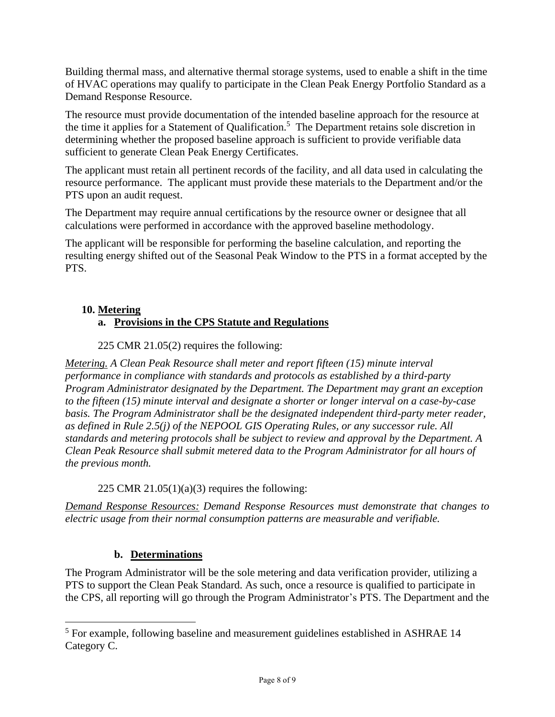Building thermal mass, and alternative thermal storage systems, used to enable a shift in the time of HVAC operations may qualify to participate in the Clean Peak Energy Portfolio Standard as a Demand Response Resource.

The resource must provide documentation of the intended baseline approach for the resource at the time it applies for a Statement of Qualification.<sup>5</sup> The Department retains sole discretion in determining whether the proposed baseline approach is sufficient to provide verifiable data sufficient to generate Clean Peak Energy Certificates.

The applicant must retain all pertinent records of the facility, and all data used in calculating the resource performance. The applicant must provide these materials to the Department and/or the PTS upon an audit request.

The Department may require annual certifications by the resource owner or designee that all calculations were performed in accordance with the approved baseline methodology.

The applicant will be responsible for performing the baseline calculation, and reporting the resulting energy shifted out of the Seasonal Peak Window to the PTS in a format accepted by the PTS.

#### **10. Metering**

# **a. Provisions in the CPS Statute and Regulations**

225 CMR 21.05(2) requires the following:

*Metering. A Clean Peak Resource shall meter and report fifteen (15) minute interval performance in compliance with standards and protocols as established by a third-party Program Administrator designated by the Department. The Department may grant an exception to the fifteen (15) minute interval and designate a shorter or longer interval on a case-by-case basis. The Program Administrator shall be the designated independent third-party meter reader, as defined in Rule 2.5(j) of the NEPOOL GIS Operating Rules, or any successor rule. All standards and metering protocols shall be subject to review and approval by the Department. A Clean Peak Resource shall submit metered data to the Program Administrator for all hours of the previous month.*

#### 225 CMR  $21.05(1)(a)(3)$  requires the following:

*Demand Response Resources: Demand Response Resources must demonstrate that changes to electric usage from their normal consumption patterns are measurable and verifiable.* 

# **b. Determinations**

The Program Administrator will be the sole metering and data verification provider, utilizing a PTS to support the Clean Peak Standard. As such, once a resource is qualified to participate in the CPS, all reporting will go through the Program Administrator's PTS. The Department and the

<sup>5</sup> For example, following baseline and measurement guidelines established in ASHRAE 14 Category C.